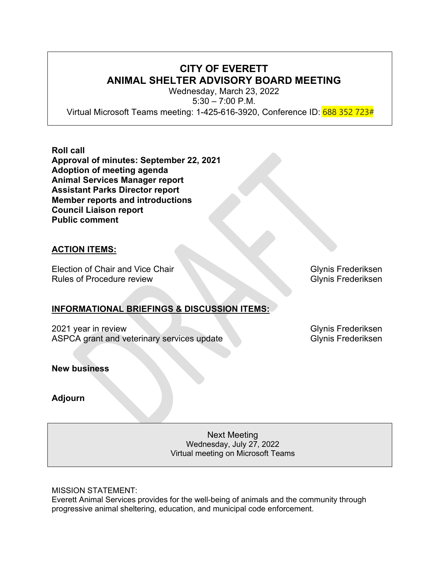# **CITY OF EVERETT ANIMAL SHELTER ADVISORY BOARD MEETING**

Wednesday, March 23, 2022 5:30 – 7:00 P.M. Virtual Microsoft Teams meeting: 1-425-616-3920, Conference ID: 688 352 723#

**Roll call Approval of minutes: September 22, 2021 Adoption of meeting agenda Animal Services Manager report Assistant Parks Director report Member reports and introductions Council Liaison report Public comment**

# **ACTION ITEMS:**

Election of Chair and Vice Chair Glynis Frederiksen Rules of Procedure review Glynis Frederiksen

# **INFORMATIONAL BRIEFINGS & DISCUSSION ITEMS:**

2021 year in review Glynis Frederiksen ASPCA grant and veterinary services update Glynis Frederiksen

**New business**

**Adjourn**

Next Meeting Wednesday, July 27, 2022 Virtual meeting on Microsoft Teams

MISSION STATEMENT:

Everett Animal Services provides for the well-being of animals and the community through progressive animal sheltering, education, and municipal code enforcement.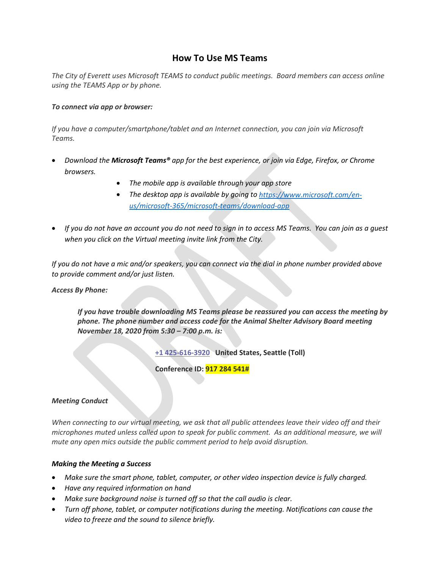# **How To Use MS Teams**

*The City of Everett uses Microsoft TEAMS to conduct public meetings. Board members can access online using the TEAMS App or by phone.*

## *To connect via app or browser:*

*If you have a computer/smartphone/tablet and an Internet connection, you can join via Microsoft Teams.*

- *Download the Microsoft Teams® app for the best experience, or join via Edge, Firefox, or Chrome browsers.*
	- *The mobile app is available through your app store*
	- *The desktop app is available by going t[o https://www.microsoft.com/en](https://www.microsoft.com/en-us/microsoft-365/microsoft-teams/download-app)[us/microsoft-365/microsoft-teams/download-app](https://www.microsoft.com/en-us/microsoft-365/microsoft-teams/download-app)*
- *If you do not have an account you do not need to sign in to access MS Teams. You can join as a guest when you click on the Virtual meeting invite link from the City.*

*If you do not have a mic and/or speakers, you can connect via the dial in phone number provided above to provide comment and/or just listen.*

## *Access By Phone:*

*If you have trouble downloading MS Teams please be reassured you can access the meeting by phone. The phone number and access code for the Animal Shelter Advisory Board meeting November 18, 2020 from 5:30 – 7:00 p.m. is:*

**[+1 425-616-3920](tel:+1%20425-616-3920,,660559396) United States, Seattle (Toll)** 

**Conference ID: 917 284 541#**

## *Meeting Conduct*

*When connecting to our virtual meeting, we ask that all public attendees leave their video off and their microphones muted unless called upon to speak for public comment. As an additional measure, we will mute any open mics outside the public comment period to help avoid disruption.*

## *Making the Meeting a Success*

- *Make sure the smart phone, tablet, computer, or other video inspection device is fully charged.*
- *Have any required information on hand*
- *Make sure background noise is turned off so that the call audio is clear.*
- *Turn off phone, tablet, or computer notifications during the meeting. Notifications can cause the video to freeze and the sound to silence briefly.*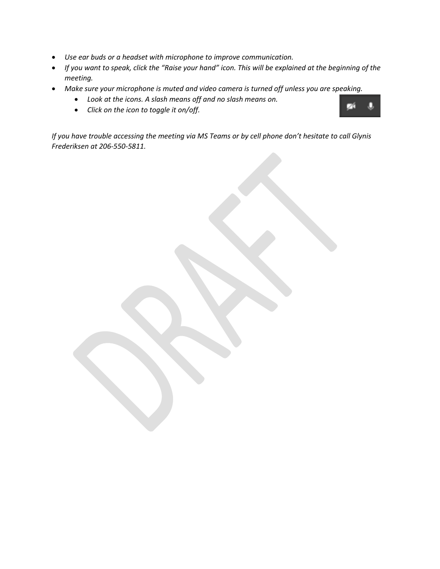- *Use ear buds or a headset with microphone to improve communication.*
- *If you want to speak, click the "Raise your hand" icon. This will be explained at the beginning of the meeting.*
- *Make sure your microphone is muted and video camera is turned off unless you are speaking.* 
	- *Look at the icons. A slash means off and no slash means on.*
	- *Click on the icon to toggle it on/off.*

*If you have trouble accessing the meeting via MS Teams or by cell phone don't hesitate to call Glynis Frederiksen at 206-550-5811.*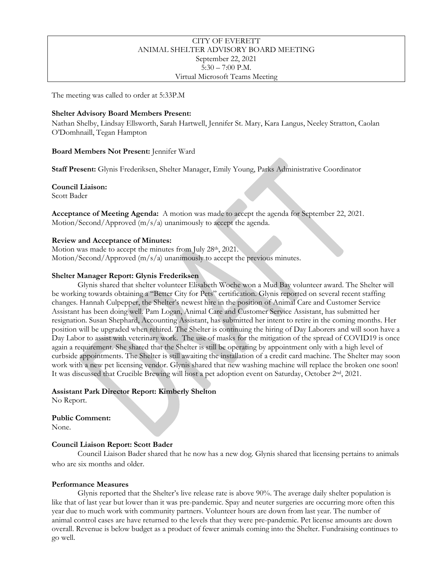### CITY OF EVERETT ANIMAL SHELTER ADVISORY BOARD MEETING September 22, 2021 5:30 – 7:00 P.M. Virtual Microsoft Teams Meeting

The meeting was called to order at 5:33P.M

### **Shelter Advisory Board Members Present:**

Nathan Shelby, Lindsay Ellsworth, Sarah Hartwell, Jennifer St. Mary, Kara Langus, Neeley Stratton, Caolan O'Domhnaill, Tegan Hampton

### **Board Members Not Present:** Jennifer Ward

**Staff Present:** Glynis Frederiksen, Shelter Manager, Emily Young, Parks Administrative Coordinator

**Council Liaison:** Scott Bader

**Acceptance of Meeting Agenda:** A motion was made to accept the agenda for September 22, 2021. Motion/Second/Approved (m/s/a) unanimously to accept the agenda.

### **Review and Acceptance of Minutes:**

Motion was made to accept the minutes from July 28<sup>th</sup>, 2021. Motion/Second/Approved (m/s/a) unanimously to accept the previous minutes.

### **Shelter Manager Report: Glynis Frederiksen**

Glynis shared that shelter volunteer Elisabeth Woche won a Mud Bay volunteer award. The Shelter will be working towards obtaining a "Better City for Pets" certification. Glynis reported on several recent staffing changes. Hannah Culpepper, the Shelter's newest hire in the position of Animal Care and Customer Service Assistant has been doing well. Pam Logan, Animal Care and Customer Service Assistant, has submitted her resignation. Susan Shephard, Accounting Assistant, has submitted her intent to retire in the coming months. Her position will be upgraded when rehired. The Shelter is continuing the hiring of Day Laborers and will soon have a Day Labor to assist with veterinary work. The use of masks for the mitigation of the spread of COVID19 is once again a requirement. She shared that the Shelter is still be operating by appointment only with a high level of curbside appointments. The Shelter is still awaiting the installation of a credit card machine. The Shelter may soon work with a new pet licensing vendor. Glynis shared that new washing machine will replace the broken one soon! It was discussed that Crucible Brewing will host a pet adoption event on Saturday, October 2nd, 2021.

## **Assistant Park Director Report: Kimberly Shelton**

No Report.

## **Public Comment:**

None.

## **Council Liaison Report: Scott Bader**

Council Liaison Bader shared that he now has a new dog. Glynis shared that licensing pertains to animals who are six months and older.

#### **Performance Measures**

Glynis reported that the Shelter's live release rate is above 90%. The average daily shelter population is like that of last year but lower than it was pre-pandemic. Spay and neuter surgeries are occurring more often this year due to much work with community partners. Volunteer hours are down from last year. The number of animal control cases are have returned to the levels that they were pre-pandemic. Pet license amounts are down overall. Revenue is below budget as a product of fewer animals coming into the Shelter. Fundraising continues to go well.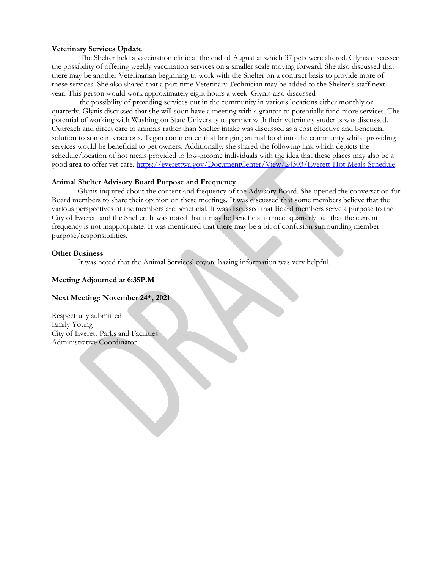#### **Veterinary Services Update**

The Shelter held a vaccination clinic at the end of August at which 37 pets were altered. Glynis discussed the possibility of offering weekly vaccination services on a smaller scale moving forward. She also discussed that there may be another Veterinarian beginning to work with the Shelter on a contract basis to provide more of these services. She also shared that a part-time Veterinary Technician may be added to the Shelter's staff next year. This person would work approximately eight hours a week. Glynis also discussed

the possibility of providing services out in the community in various locations either monthly or quarterly. Glynis discussed that she will soon have a meeting with a grantor to potentially fund more services. The potential of working with Washington State University to partner with their veterinary students was discussed. Outreach and direct care to animals rather than Shelter intake was discussed as a cost effective and beneficial solution to some interactions. Tegan commented that bringing animal food into the community whilst providing services would be beneficial to pet owners. Additionally, she shared the following link which depicts the schedule/location of hot meals provided to low-income individuals with the idea that these places may also be a good area to offer vet care. [https://everettwa.gov/DocumentCenter/View/24303/Everett-Hot-Meals-Schedule.](https://everettwa.gov/DocumentCenter/View/24303/Everett-Hot-Meals-Schedule)

#### **Animal Shelter Advisory Board Purpose and Frequency**

Glynis inquired about the content and frequency of the Advisory Board. She opened the conversation for Board members to share their opinion on these meetings. It was discussed that some members believe that the various perspectives of the members are beneficial. It was discussed that Board members serve a purpose to the City of Everett and the Shelter. It was noted that it may be beneficial to meet quarterly but that the current frequency is not inappropriate. It was mentioned that there may be a bit of confusion surrounding member purpose/responsibilities.

#### **Other Business**

It was noted that the Animal Services' coyote hazing information was very helpful.

#### **Meeting Adjourned at 6:35P.M**

### **Next Meeting: November 24th, 2021**

Respectfully submitted Emily Young City of Everett Parks and Facilities Administrative Coordinator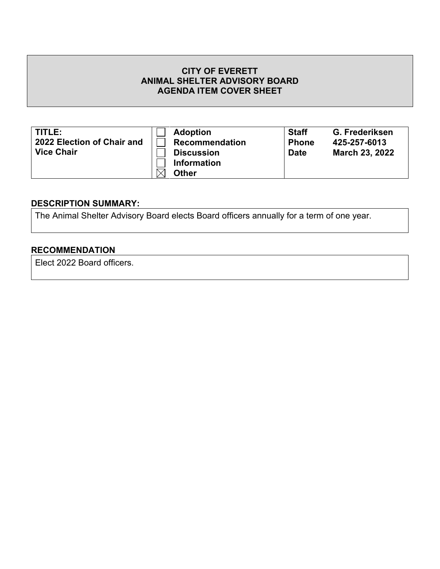| TITLE:                     | <b>Adoption</b>       | <b>Staff</b> | G. Frederiksen        |
|----------------------------|-----------------------|--------------|-----------------------|
| 2022 Election of Chair and | <b>Recommendation</b> | <b>Phone</b> | 425-257-6013          |
| <b>Vice Chair</b>          | <b>Discussion</b>     | <b>Date</b>  | <b>March 23, 2022</b> |
|                            | <b>Information</b>    |              |                       |
|                            | <b>Other</b>          |              |                       |

# **DESCRIPTION SUMMARY:**

The Animal Shelter Advisory Board elects Board officers annually for a term of one year.

# **RECOMMENDATION**

Elect 2022 Board officers.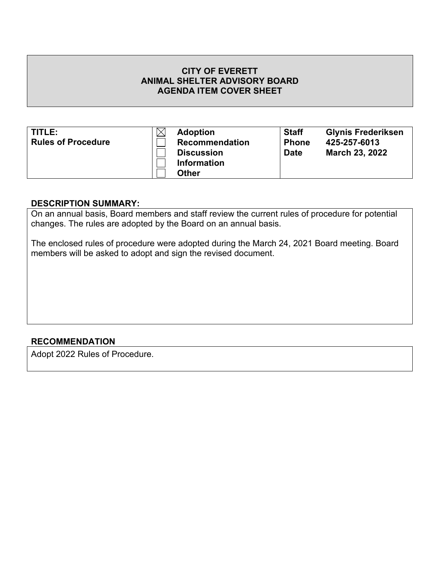| TITLE:                    | <b>Adoption</b>       | <b>Staff</b> | <b>Glynis Frederiksen</b> |
|---------------------------|-----------------------|--------------|---------------------------|
| <b>Rules of Procedure</b> | <b>Recommendation</b> | <b>Phone</b> | 425-257-6013              |
|                           | <b>Discussion</b>     | <b>Date</b>  | <b>March 23, 2022</b>     |
|                           | <b>Information</b>    |              |                           |
|                           | <b>Other</b>          |              |                           |

# **DESCRIPTION SUMMARY:**

On an annual basis, Board members and staff review the current rules of procedure for potential changes. The rules are adopted by the Board on an annual basis.

The enclosed rules of procedure were adopted during the March 24, 2021 Board meeting. Board members will be asked to adopt and sign the revised document.

## **RECOMMENDATION**

Adopt 2022 Rules of Procedure.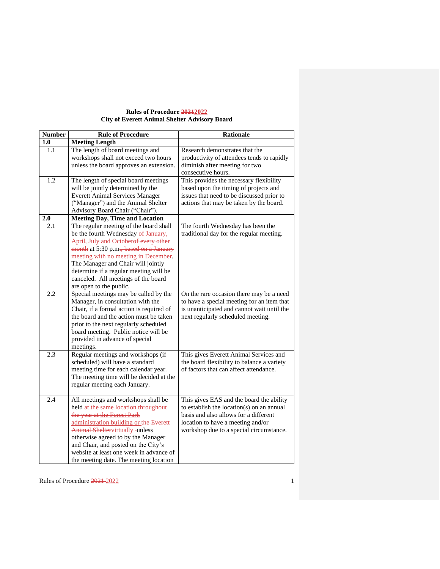#### **Rules of Procedure 20212022 City of Everett Animal Shelter Advisory Board**

| <b>Number</b> | <b>Rule of Procedure</b>                                                        | <b>Rationale</b>                              |
|---------------|---------------------------------------------------------------------------------|-----------------------------------------------|
| 1.0           | <b>Meeting Length</b>                                                           |                                               |
| 1.1           | The length of board meetings and                                                | Research demonstrates that the                |
|               | workshops shall not exceed two hours                                            | productivity of attendees tends to rapidly    |
|               | unless the board approves an extension.                                         | diminish after meeting for two                |
|               |                                                                                 | consecutive hours.                            |
| 1.2           | The length of special board meetings                                            | This provides the necessary flexibility       |
|               | will be jointly determined by the                                               | based upon the timing of projects and         |
|               | <b>Everett Animal Services Manager</b>                                          | issues that need to be discussed prior to     |
|               | ("Manager") and the Animal Shelter                                              | actions that may be taken by the board.       |
|               | Advisory Board Chair ("Chair").                                                 |                                               |
| 2.0           | <b>Meeting Day, Time and Location</b>                                           |                                               |
| 2.1           | The regular meeting of the board shall                                          | The fourth Wednesday has been the             |
|               | be the fourth Wednesday of January,                                             | traditional day for the regular meeting.      |
|               | April, July and Octoberof every other                                           |                                               |
|               | month at 5:30 p.m., based on a January                                          |                                               |
|               | meeting with no meeting in December.                                            |                                               |
|               | The Manager and Chair will jointly                                              |                                               |
|               | determine if a regular meeting will be                                          |                                               |
|               | canceled. All meetings of the board                                             |                                               |
|               | are open to the public.                                                         |                                               |
| 2.2           | Special meetings may be called by the                                           | On the rare occasion there may be a need      |
|               | Manager, in consultation with the                                               | to have a special meeting for an item that    |
|               | Chair, if a formal action is required of                                        | is unanticipated and cannot wait until the    |
|               | the board and the action must be taken                                          | next regularly scheduled meeting.             |
|               | prior to the next regularly scheduled                                           |                                               |
|               | board meeting. Public notice will be                                            |                                               |
|               | provided in advance of special                                                  |                                               |
|               | meetings.                                                                       |                                               |
| 2.3           | Regular meetings and workshops (if                                              | This gives Everett Animal Services and        |
|               | scheduled) will have a standard                                                 | the board flexibility to balance a variety    |
|               | meeting time for each calendar year.<br>The meeting time will be decided at the | of factors that can affect attendance.        |
|               | regular meeting each January.                                                   |                                               |
|               |                                                                                 |                                               |
| 2.4           | All meetings and workshops shall be                                             | This gives EAS and the board the ability      |
|               | held at the same location throughout                                            | to establish the location( $s$ ) on an annual |
|               | the year at the Forest Park                                                     | basis and also allows for a different         |
|               | administration building or the Everett                                          | location to have a meeting and/or             |
|               | <b>Animal Sheltervirtually -unless</b>                                          | workshop due to a special circumstance.       |
|               | otherwise agreed to by the Manager                                              |                                               |
|               | and Chair, and posted on the City's                                             |                                               |
|               | website at least one week in advance of                                         |                                               |
|               | the meeting date. The meeting location                                          |                                               |

Rules of Procedure  $\frac{2021-2022}{202}$ 

 $\overline{\phantom{a}}$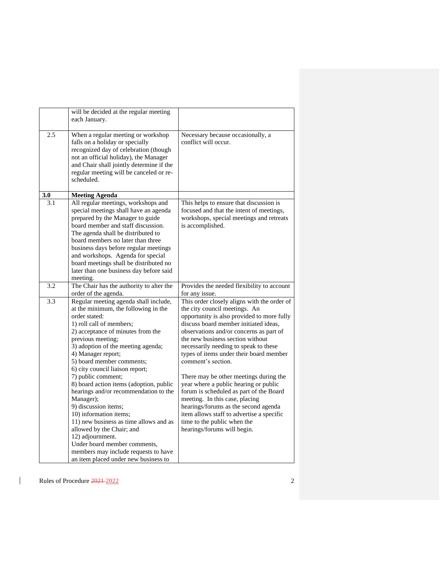|     | will be decided at the regular meeting<br>each January.                                                                                                                                                                                                                                                                                                                                                          |                                                                                                                                                                                                                                                                                                                                                              |
|-----|------------------------------------------------------------------------------------------------------------------------------------------------------------------------------------------------------------------------------------------------------------------------------------------------------------------------------------------------------------------------------------------------------------------|--------------------------------------------------------------------------------------------------------------------------------------------------------------------------------------------------------------------------------------------------------------------------------------------------------------------------------------------------------------|
| 2.5 | When a regular meeting or workshop<br>falls on a holiday or specially<br>recognized day of celebration (though<br>not an official holiday), the Manager<br>and Chair shall jointly determine if the<br>regular meeting will be canceled or re-<br>scheduled.                                                                                                                                                     | Necessary because occasionally, a<br>conflict will occur.                                                                                                                                                                                                                                                                                                    |
| 3.0 | <b>Meeting Agenda</b>                                                                                                                                                                                                                                                                                                                                                                                            |                                                                                                                                                                                                                                                                                                                                                              |
| 3.1 | All regular meetings, workshops and<br>special meetings shall have an agenda<br>prepared by the Manager to guide<br>board member and staff discussion.<br>The agenda shall be distributed to<br>board members no later than three<br>business days before regular meetings<br>and workshops. Agenda for special<br>board meetings shall be distributed no<br>later than one business day before said<br>meeting. | This helps to ensure that discussion is<br>focused and that the intent of meetings,<br>workshops, special meetings and retreats<br>is accomplished.                                                                                                                                                                                                          |
| 3.2 | The Chair has the authority to alter the<br>order of the agenda.                                                                                                                                                                                                                                                                                                                                                 | Provides the needed flexibility to account<br>for any issue.                                                                                                                                                                                                                                                                                                 |
| 3.3 | Regular meeting agenda shall include,<br>at the minimum, the following in the<br>order stated:<br>1) roll call of members;<br>2) acceptance of minutes from the<br>previous meeting;<br>3) adoption of the meeting agenda;<br>4) Manager report;<br>5) board member comments;<br>6) city council liaison report;                                                                                                 | This order closely aligns with the order of<br>the city council meetings. An<br>opportunity is also provided to more fully<br>discuss board member initiated ideas,<br>observations and/or concerns as part of<br>the new business section without<br>necessarily needing to speak to these<br>types of items under their board member<br>comment's section. |
|     | 7) public comment;<br>8) board action items (adoption, public<br>hearings and/or recommendation to the<br>Manager);<br>9) discussion items;<br>10) information items;<br>11) new business as time allows and as<br>allowed by the Chair; and<br>12) adjournment.<br>Under board member comments,<br>members may include requests to have<br>an item placed under new business to                                 | There may be other meetings during the<br>year where a public hearing or public<br>forum is scheduled as part of the Board<br>meeting. In this case, placing<br>hearings/forums as the second agenda<br>item allows staff to advertise a specific<br>time to the public when the<br>hearings/forums will begin.                                              |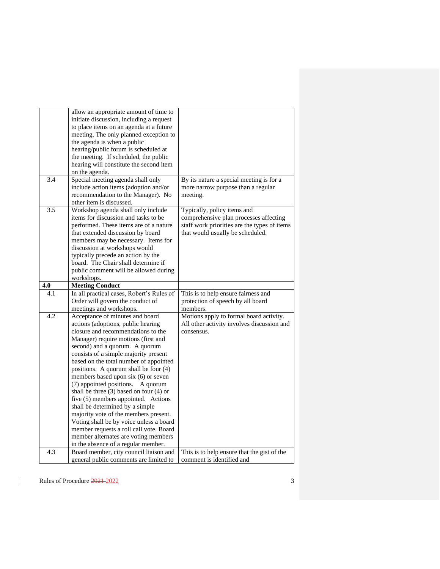|     | allow an appropriate amount of time to<br>initiate discussion, including a request<br>to place items on an agenda at a future<br>meeting. The only planned exception to<br>the agenda is when a public<br>hearing/public forum is scheduled at<br>the meeting. If scheduled, the public<br>hearing will constitute the second item<br>on the agenda.                                                                                                                                                                                                                                                                                                                                                                                   |                                                                                                                                                           |
|-----|----------------------------------------------------------------------------------------------------------------------------------------------------------------------------------------------------------------------------------------------------------------------------------------------------------------------------------------------------------------------------------------------------------------------------------------------------------------------------------------------------------------------------------------------------------------------------------------------------------------------------------------------------------------------------------------------------------------------------------------|-----------------------------------------------------------------------------------------------------------------------------------------------------------|
| 3.4 | Special meeting agenda shall only<br>include action items (adoption and/or<br>recommendation to the Manager). No<br>other item is discussed.                                                                                                                                                                                                                                                                                                                                                                                                                                                                                                                                                                                           | By its nature a special meeting is for a<br>more narrow purpose than a regular<br>meeting.                                                                |
| 3.5 | Workshop agenda shall only include<br>items for discussion and tasks to be<br>performed. These items are of a nature<br>that extended discussion by board<br>members may be necessary. Items for<br>discussion at workshops would<br>typically precede an action by the<br>board. The Chair shall determine if<br>public comment will be allowed during<br>workshops.                                                                                                                                                                                                                                                                                                                                                                  | Typically, policy items and<br>comprehensive plan processes affecting<br>staff work priorities are the types of items<br>that would usually be scheduled. |
| 4.0 | <b>Meeting Conduct</b>                                                                                                                                                                                                                                                                                                                                                                                                                                                                                                                                                                                                                                                                                                                 |                                                                                                                                                           |
| 4.1 | In all practical cases, Robert's Rules of<br>Order will govern the conduct of<br>meetings and workshops.                                                                                                                                                                                                                                                                                                                                                                                                                                                                                                                                                                                                                               | This is to help ensure fairness and<br>protection of speech by all board<br>members.                                                                      |
| 4.2 | Acceptance of minutes and board<br>actions (adoptions, public hearing<br>closure and recommendations to the<br>Manager) require motions (first and<br>second) and a quorum. A quorum<br>consists of a simple majority present<br>based on the total number of appointed<br>positions. A quorum shall be four (4)<br>members based upon six (6) or seven<br>(7) appointed positions.<br>A quorum<br>shall be three $(3)$ based on four $(4)$ or<br>five (5) members appointed. Actions<br>shall be determined by a simple<br>majority vote of the members present.<br>Voting shall be by voice unless a board<br>member requests a roll call vote. Board<br>member alternates are voting members<br>in the absence of a regular member. | Motions apply to formal board activity.<br>All other activity involves discussion and<br>consensus.                                                       |
| 4.3 | Board member, city council liaison and                                                                                                                                                                                                                                                                                                                                                                                                                                                                                                                                                                                                                                                                                                 | This is to help ensure that the gist of the                                                                                                               |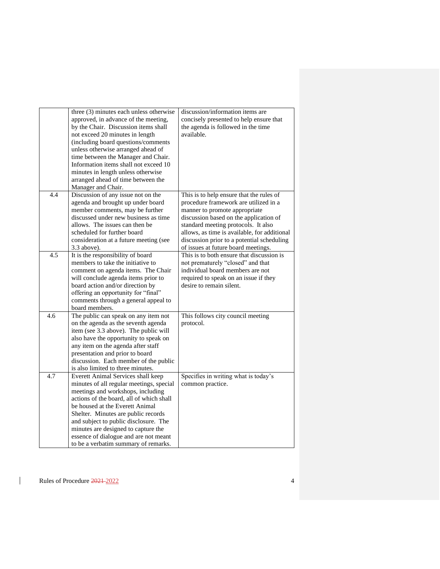|     | three (3) minutes each unless otherwise<br>approved, in advance of the meeting,<br>by the Chair. Discussion items shall<br>not exceed 20 minutes in length<br>(including board questions/comments<br>unless otherwise arranged ahead of<br>time between the Manager and Chair.<br>Information items shall not exceed 10<br>minutes in length unless otherwise<br>arranged ahead of time between the<br>Manager and Chair. | discussion/information items are<br>concisely presented to help ensure that<br>the agenda is followed in the time<br>available.                                                                                                                                                                                                          |
|-----|---------------------------------------------------------------------------------------------------------------------------------------------------------------------------------------------------------------------------------------------------------------------------------------------------------------------------------------------------------------------------------------------------------------------------|------------------------------------------------------------------------------------------------------------------------------------------------------------------------------------------------------------------------------------------------------------------------------------------------------------------------------------------|
| 4.4 | Discussion of any issue not on the<br>agenda and brought up under board<br>member comments, may be further<br>discussed under new business as time<br>allows. The issues can then be.<br>scheduled for further board<br>consideration at a future meeting (see<br>$3.3$ above).                                                                                                                                           | This is to help ensure that the rules of<br>procedure framework are utilized in a<br>manner to promote appropriate<br>discussion based on the application of<br>standard meeting protocols. It also<br>allows, as time is available, for additional<br>discussion prior to a potential scheduling<br>of issues at future board meetings. |
| 4.5 | It is the responsibility of board<br>members to take the initiative to<br>comment on agenda items. The Chair<br>will conclude agenda items prior to<br>board action and/or direction by<br>offering an opportunity for "final"<br>comments through a general appeal to<br>board members.                                                                                                                                  | This is to both ensure that discussion is<br>not prematurely "closed" and that<br>individual board members are not<br>required to speak on an issue if they<br>desire to remain silent.                                                                                                                                                  |
| 4.6 | The public can speak on any item not<br>on the agenda as the seventh agenda<br>item (see 3.3 above). The public will<br>also have the opportunity to speak on<br>any item on the agenda after staff<br>presentation and prior to board<br>discussion. Each member of the public<br>is also limited to three minutes.                                                                                                      | This follows city council meeting<br>protocol.                                                                                                                                                                                                                                                                                           |
| 4.7 | Everett Animal Services shall keep<br>minutes of all regular meetings, special<br>meetings and workshops, including<br>actions of the board, all of which shall<br>be housed at the Everett Animal<br>Shelter. Minutes are public records<br>and subject to public disclosure. The<br>minutes are designed to capture the<br>essence of dialogue and are not meant<br>to be a verbatim summary of remarks.                | Specifies in writing what is today's<br>common practice.                                                                                                                                                                                                                                                                                 |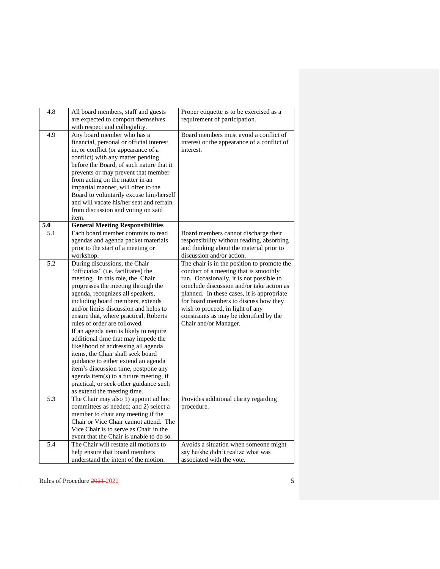| 4.8              | All board members, staff and guests<br>are expected to comport themselves | Proper etiquette is to be exercised as a<br>requirement of participation. |
|------------------|---------------------------------------------------------------------------|---------------------------------------------------------------------------|
|                  | with respect and collegiality.                                            |                                                                           |
| 4.9              | Any board member who has a                                                | Board members must avoid a conflict of                                    |
|                  | financial, personal or official interest                                  | interest or the appearance of a conflict of                               |
|                  | in, or conflict (or appearance of a                                       | interest.                                                                 |
|                  | conflict) with any matter pending                                         |                                                                           |
|                  | before the Board, of such nature that it                                  |                                                                           |
|                  | prevents or may prevent that member                                       |                                                                           |
|                  | from acting on the matter in an                                           |                                                                           |
|                  |                                                                           |                                                                           |
|                  | impartial manner, will offer to the                                       |                                                                           |
|                  | Board to voluntarily excuse him/herself                                   |                                                                           |
|                  | and will vacate his/her seat and refrain                                  |                                                                           |
|                  | from discussion and voting on said                                        |                                                                           |
|                  | item.                                                                     |                                                                           |
| $\overline{5.0}$ | <b>General Meeting Responsibilities</b>                                   |                                                                           |
| 5.1              | Each board member commits to read                                         | Board members cannot discharge their                                      |
|                  | agendas and agenda packet materials                                       | responsibility without reading, absorbing                                 |
|                  | prior to the start of a meeting or                                        | and thinking about the material prior to                                  |
|                  | workshop.                                                                 | discussion and/or action.                                                 |
| 5.2              | During discussions, the Chair                                             | The chair is in the position to promote the                               |
|                  | "officiates" (i.e. facilitates) the                                       | conduct of a meeting that is smoothly                                     |
|                  | meeting. In this role, the Chair                                          | run. Occasionally, it is not possible to                                  |
|                  | progresses the meeting through the                                        | conclude discussion and/or take action as                                 |
|                  | agenda, recognizes all speakers,                                          | planned. In these cases, it is appropriate                                |
|                  | including board members, extends                                          | for board members to discuss how they                                     |
|                  | and/or limits discussion and helps to                                     | wish to proceed, in light of any                                          |
|                  | ensure that, where practical, Roberts                                     | constraints as may be identified by the                                   |
|                  | rules of order are followed.                                              | Chair and/or Manager.                                                     |
|                  | If an agenda item is likely to require                                    |                                                                           |
|                  | additional time that may impede the                                       |                                                                           |
|                  | likelihood of addressing all agenda                                       |                                                                           |
|                  | items, the Chair shall seek board                                         |                                                                           |
|                  | guidance to either extend an agenda                                       |                                                                           |
|                  | item's discussion time, postpone any                                      |                                                                           |
|                  | agenda item(s) to a future meeting, if                                    |                                                                           |
|                  |                                                                           |                                                                           |
|                  | practical, or seek other guidance such                                    |                                                                           |
|                  | as extend the meeting time.                                               |                                                                           |
| 5.3              | The Chair may also 1) appoint ad hoc                                      | Provides additional clarity regarding                                     |
|                  | committees as needed; and 2) select a                                     | procedure.                                                                |
|                  | member to chair any meeting if the                                        |                                                                           |
|                  | Chair or Vice Chair cannot attend. The                                    |                                                                           |
|                  | Vice Chair is to serve as Chair in the                                    |                                                                           |
|                  | event that the Chair is unable to do so.                                  |                                                                           |
| 5.4              | The Chair will restate all motions to                                     | Avoids a situation when someone might                                     |
|                  | help ensure that board members                                            | say he/she didn't realize what was                                        |
|                  | understand the intent of the motion.                                      | associated with the vote.                                                 |
|                  |                                                                           |                                                                           |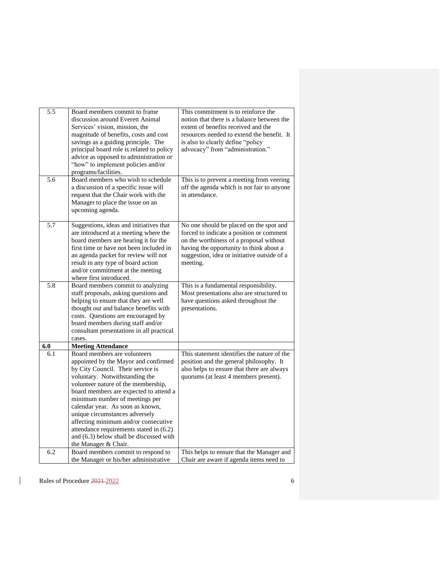| 5.5 | Board members commit to frame             | This commitment is to reinforce the         |
|-----|-------------------------------------------|---------------------------------------------|
|     | discussion around Everett Animal          | notion that there is a balance between the  |
|     | Services' vision, mission, the            | extent of benefits received and the         |
|     | magnitude of benefits, costs and cost     | resources needed to extend the benefit. It  |
|     | savings as a guiding principle. The       | is also to clearly define "policy           |
|     | principal board role is related to policy | advocacy" from "administration."            |
|     |                                           |                                             |
|     | advice as opposed to administration or    |                                             |
|     | "how" to implement policies and/or        |                                             |
|     | programs/facilities.                      |                                             |
| 5.6 | Board members who wish to schedule        | This is to prevent a meeting from veering   |
|     | a discussion of a specific issue will     | off the agenda which is not fair to anyone  |
|     | request that the Chair work with the      | in attendance.                              |
|     | Manager to place the issue on an          |                                             |
|     | upcoming agenda.                          |                                             |
|     |                                           |                                             |
| 5.7 | Suggestions, ideas and initiatives that   | No one should be placed on the spot and     |
|     | are introduced at a meeting where the     | forced to indicate a position or comment    |
|     | board members are hearing it for the      | on the worthiness of a proposal without     |
|     | first time or have not been included in   | having the opportunity to think about a     |
|     | an agenda packet for review will not      | suggestion, idea or initiative outside of a |
|     | result in any type of board action        | meeting.                                    |
|     | and/or commitment at the meeting          |                                             |
|     | where first introduced.                   |                                             |
| 5.8 | Board members commit to analyzing         | This is a fundamental responsibility.       |
|     | staff proposals, asking questions and     | Most presentations also are structured to   |
|     | helping to ensure that they are well      | have questions asked throughout the         |
|     | thought out and balance benefits with     | presentations.                              |
|     | costs. Questions are encouraged by        |                                             |
|     |                                           |                                             |
|     | board members during staff and/or         |                                             |
|     | consultant presentations in all practical |                                             |
|     | cases.                                    |                                             |
| 6.0 | <b>Meeting Attendance</b>                 |                                             |
| 6.1 | Board members are volunteers              | This statement identifies the nature of the |
|     | appointed by the Mayor and confirmed      | position and the general philosophy. It     |
|     | by City Council. Their service is         | also helps to ensure that there are always  |
|     | voluntary. Notwithstanding the            | quorums (at least 4 members present).       |
|     | volunteer nature of the membership,       |                                             |
|     | board members are expected to attend a    |                                             |
|     | minimum number of meetings per            |                                             |
|     | calendar year. As soon as known,          |                                             |
|     | unique circumstances adversely            |                                             |
|     | affecting minimum and/or consecutive      |                                             |
|     | attendance requirements stated in (6.2)   |                                             |
|     | and (6.3) below shall be discussed with   |                                             |
|     | the Manager & Chair.                      |                                             |
| 6.2 | Board members commit to respond to        | This helps to ensure that the Manager and   |
|     | the Manager or his/her administrative     | Chair are aware if agenda items need to     |
|     |                                           |                                             |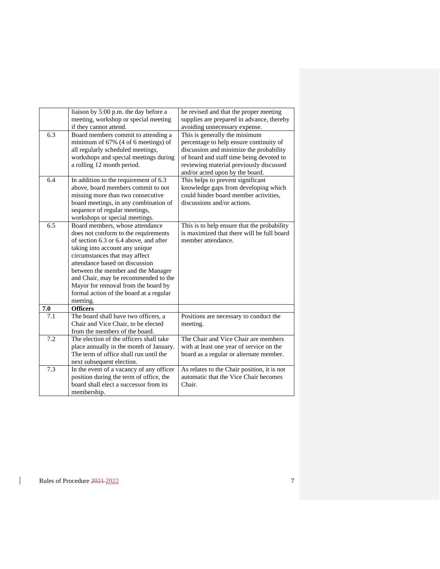|     | liaison by 5:00 p.m. the day before a<br>meeting, workshop or special meeting<br>if they cannot attend. | be revised and that the proper meeting<br>supplies are prepared in advance, thereby<br>avoiding unnecessary expense. |
|-----|---------------------------------------------------------------------------------------------------------|----------------------------------------------------------------------------------------------------------------------|
| 6.3 | Board members commit to attending a                                                                     | This is generally the minimum                                                                                        |
|     | minimum of 67% (4 of 6 meetings) of                                                                     | percentage to help ensure continuity of                                                                              |
|     | all regularly scheduled meetings,                                                                       | discussion and minimize the probability                                                                              |
|     | workshops and special meetings during                                                                   | of board and staff time being devoted to                                                                             |
|     | a rolling 12 month period.                                                                              | reviewing material previously discussed                                                                              |
|     |                                                                                                         | and/or acted upon by the board.                                                                                      |
| 6.4 | In addition to the requirement of 6.3                                                                   | This helps to prevent significant                                                                                    |
|     | above, board members commit to not                                                                      | knowledge gaps from developing which                                                                                 |
|     | missing more than two consecutive                                                                       | could hinder board member activities,                                                                                |
|     | board meetings, in any combination of                                                                   | discussions and/or actions.                                                                                          |
|     | sequence of regular meetings,                                                                           |                                                                                                                      |
|     | workshops or special meetings.                                                                          |                                                                                                                      |
| 6.5 | Board members, whose attendance                                                                         | This is to help ensure that the probability                                                                          |
|     | does not conform to the requirements                                                                    | is maximized that there will be full board                                                                           |
|     | of section 6.3 or 6.4 above, and after                                                                  | member attendance.                                                                                                   |
|     | taking into account any unique                                                                          |                                                                                                                      |
|     | circumstances that may affect                                                                           |                                                                                                                      |
|     | attendance based on discussion                                                                          |                                                                                                                      |
|     |                                                                                                         |                                                                                                                      |
|     | between the member and the Manager                                                                      |                                                                                                                      |
|     | and Chair, may be recommended to the                                                                    |                                                                                                                      |
|     | Mayor for removal from the board by                                                                     |                                                                                                                      |
|     | formal action of the board at a regular                                                                 |                                                                                                                      |
|     | meeting.                                                                                                |                                                                                                                      |
| 7.0 | <b>Officers</b>                                                                                         |                                                                                                                      |
| 7.1 | The board shall have two officers, a                                                                    | Positions are necessary to conduct the                                                                               |
|     | Chair and Vice Chair, to be elected                                                                     | meeting.                                                                                                             |
|     | from the members of the board.                                                                          |                                                                                                                      |
| 7.2 | The election of the officers shall take                                                                 | The Chair and Vice Chair are members                                                                                 |
|     | place annually in the month of January.                                                                 | with at least one year of service on the                                                                             |
|     | The term of office shall run until the                                                                  | board as a regular or alternate member.                                                                              |
|     | next subsequent election.                                                                               |                                                                                                                      |
| 7.3 | In the event of a vacancy of any officer                                                                | As relates to the Chair position, it is not                                                                          |
|     | position during the term of office, the                                                                 | automatic that the Vice Chair becomes                                                                                |
|     | board shall elect a successor from its                                                                  | Chair.                                                                                                               |
|     | membership.                                                                                             |                                                                                                                      |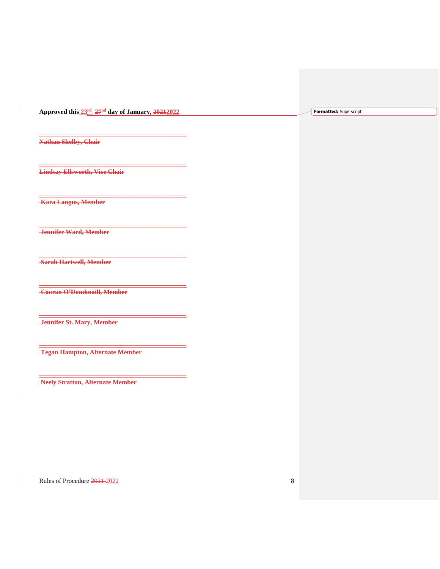**Approved this 23rd 27 nd day of January, 20212022**

**\_\_\_\_\_\_\_\_\_\_\_\_\_\_\_\_\_\_\_\_\_\_\_\_\_\_\_\_\_\_\_\_\_\_\_\_\_\_\_\_\_\_\_\_\_**

**\_\_\_\_\_\_\_\_\_\_\_\_\_\_\_\_\_\_\_\_\_\_\_\_\_\_\_\_\_\_\_\_\_\_\_\_\_\_\_\_\_\_\_\_\_**

**\_\_\_\_\_\_\_\_\_\_\_\_\_\_\_\_\_\_\_\_\_\_\_\_\_\_\_\_\_\_\_\_\_\_\_\_\_\_\_\_\_\_\_\_\_**

**\_\_\_\_\_\_\_\_\_\_\_\_\_\_\_\_\_\_\_\_\_\_\_\_\_\_\_\_\_\_\_\_\_\_\_\_\_\_\_\_\_\_\_\_\_**

**\_\_\_\_\_\_\_\_\_\_\_\_\_\_\_\_\_\_\_\_\_\_\_\_\_\_\_\_\_\_\_\_\_\_\_\_\_\_\_\_\_\_\_\_\_**

**\_\_\_\_\_\_\_\_\_\_\_\_\_\_\_\_\_\_\_\_\_\_\_\_\_\_\_\_\_\_\_\_\_\_\_\_\_\_\_\_\_\_\_\_\_**

**\_\_\_\_\_\_\_\_\_\_\_\_\_\_\_\_\_\_\_\_\_\_\_\_\_\_\_\_\_\_\_\_\_\_\_\_\_\_\_\_\_\_\_\_\_**

**\_\_\_\_\_\_\_\_\_\_\_\_\_\_\_\_\_\_\_\_\_\_\_\_\_\_\_\_\_\_\_\_\_\_\_\_\_\_\_\_\_\_\_\_\_**

**\_\_\_\_\_\_\_\_\_\_\_\_\_\_\_\_\_\_\_\_\_\_\_\_\_\_\_\_\_\_\_\_\_\_\_\_\_\_\_\_\_\_\_\_\_**

**Formatted:** Superscript

**Nathan Shelby, Chair**

 $\mathsf{I}$ 

**Lindsay Ellsworth, Vice Chair**

**Kara Langus, Member**

**Jennifer Ward, Member**

**Sarah Hartwell, Member**

**Caoran O'Domhnaill, Member**

**Jennifer St. Mary, Member**

**Tegan Hampton, Alternate Member**

**Neely Stratton, Alternate Member**

Rules of Procedure  $\frac{2021-2022}{202}$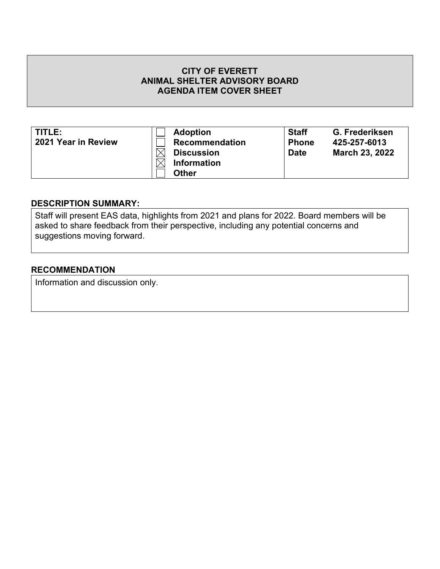| TITLE:              | <b>Adoption</b>       | <b>Staff</b> | G. Frederiksen        |
|---------------------|-----------------------|--------------|-----------------------|
| 2021 Year in Review | <b>Recommendation</b> | <b>Phone</b> | 425-257-6013          |
|                     | <b>Discussion</b>     | <b>Date</b>  | <b>March 23, 2022</b> |
|                     | <b>Information</b>    |              |                       |
|                     | <b>Other</b>          |              |                       |

# **DESCRIPTION SUMMARY:**

Staff will present EAS data, highlights from 2021 and plans for 2022. Board members will be asked to share feedback from their perspective, including any potential concerns and suggestions moving forward.

## **RECOMMENDATION**

Information and discussion only.